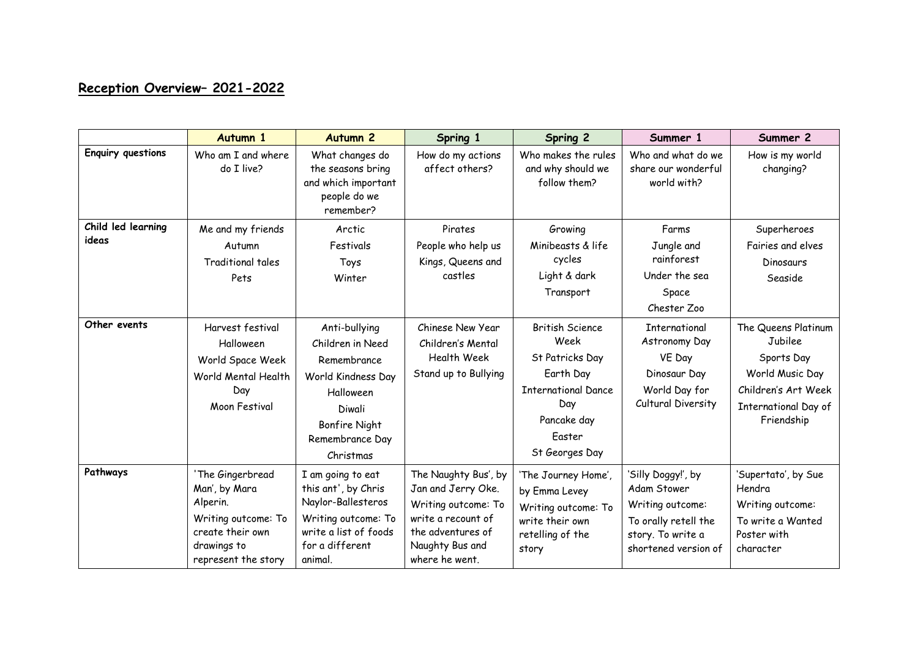## **Reception Overview– 2021-2022**

|                             | Autumn 1                                                                                                                       | <b>Autumn 2</b>                                                                                                                                       | Spring 1                                                                                                                                          | <b>Spring 2</b>                                                                                                                                | Summer 1                                                                                                                   | Summer 2                                                                                                                            |
|-----------------------------|--------------------------------------------------------------------------------------------------------------------------------|-------------------------------------------------------------------------------------------------------------------------------------------------------|---------------------------------------------------------------------------------------------------------------------------------------------------|------------------------------------------------------------------------------------------------------------------------------------------------|----------------------------------------------------------------------------------------------------------------------------|-------------------------------------------------------------------------------------------------------------------------------------|
| <b>Enquiry questions</b>    | Who am I and where<br>do I live?                                                                                               | What changes do<br>the seasons bring<br>and which important<br>people do we<br>remember?                                                              | How do my actions<br>affect others?                                                                                                               | Who makes the rules<br>and why should we<br>follow them?                                                                                       | Who and what do we<br>share our wonderful<br>world with?                                                                   | How is my world<br>changing?                                                                                                        |
| Child led learning<br>ideas | Me and my friends<br>Autumn<br>Traditional tales<br>Pets                                                                       | Arctic<br>Festivals<br>Toys<br>Winter                                                                                                                 | Pirates<br>People who help us<br>Kings, Queens and<br>castles                                                                                     | Growing<br>Minibeasts & life<br>cycles<br>Light & dark<br>Transport                                                                            | Farms<br>Jungle and<br>rainforest<br>Under the sea<br>Space<br>Chester Zoo                                                 | Superheroes<br>Fairies and elves<br>Dinosaurs<br>Seaside                                                                            |
| Other events                | Harvest festival<br>Halloween<br>World Space Week<br>World Mental Health<br>Day<br>Moon Festival                               | Anti-bullying<br>Children in Need<br>Remembrance<br>World Kindness Day<br>Halloween<br>Diwali<br><b>Bonfire Night</b><br>Remembrance Day<br>Christmas | Chinese New Year<br>Children's Mental<br><b>Health Week</b><br>Stand up to Bullying                                                               | <b>British Science</b><br>Week<br>St Patricks Day<br>Earth Day<br><b>International Dance</b><br>Day<br>Pancake day<br>Easter<br>St Georges Day | International<br>Astronomy Day<br>VE Day<br>Dinosaur Day<br>World Day for<br>Cultural Diversity                            | The Queens Platinum<br>Jubilee<br>Sports Day<br>World Music Day<br>Children's Art Week<br><b>International Day of</b><br>Friendship |
| Pathways                    | 'The Gingerbread<br>Man', by Mara<br>Alperin.<br>Writing outcome: To<br>create their own<br>drawings to<br>represent the story | I am going to eat<br>this ant', by Chris<br>Naylor-Ballesteros<br>Writing outcome: To<br>write a list of foods<br>for a different<br>animal.          | The Naughty Bus', by<br>Jan and Jerry Oke.<br>Writing outcome: To<br>write a recount of<br>the adventures of<br>Naughty Bus and<br>where he went. | 'The Journey Home',<br>by Emma Levey<br>Writing outcome: To<br>write their own<br>retelling of the<br>story                                    | 'Silly Doggy!', by<br>Adam Stower<br>Writing outcome:<br>To orally retell the<br>story. To write a<br>shortened version of | 'Supertato', by Sue<br>Hendra<br>Writing outcome:<br>To write a Wanted<br>Poster with<br>character                                  |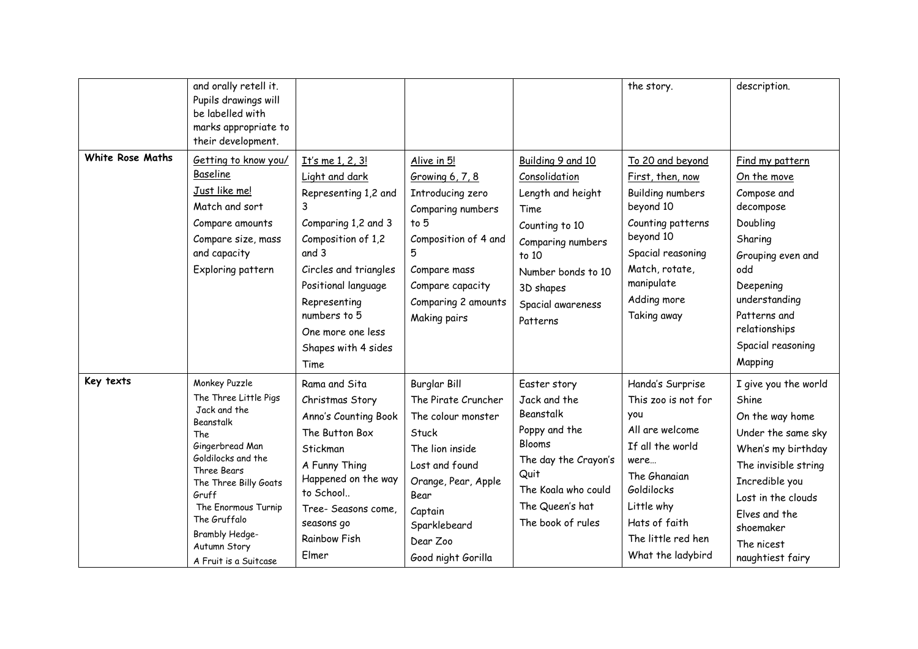|                  | and orally retell it.<br>Pupils drawings will<br>be labelled with<br>marks appropriate to<br>their development.                                                                                                                                                        |                                                                                                                                                                                                                                                           |                                                                                                                                                                                                     |                                                                                                                                                                                     | the story.                                                                                                                                                                                            | description.                                                                                                                                                                                                                  |
|------------------|------------------------------------------------------------------------------------------------------------------------------------------------------------------------------------------------------------------------------------------------------------------------|-----------------------------------------------------------------------------------------------------------------------------------------------------------------------------------------------------------------------------------------------------------|-----------------------------------------------------------------------------------------------------------------------------------------------------------------------------------------------------|-------------------------------------------------------------------------------------------------------------------------------------------------------------------------------------|-------------------------------------------------------------------------------------------------------------------------------------------------------------------------------------------------------|-------------------------------------------------------------------------------------------------------------------------------------------------------------------------------------------------------------------------------|
| White Rose Maths | Getting to know you/<br>Baseline<br>Just like me!<br>Match and sort<br>Compare amounts<br>Compare size, mass<br>and capacity<br>Exploring pattern                                                                                                                      | It's me 1, 2, 3!<br>Light and dark<br>Representing 1,2 and<br>3<br>Comparing 1,2 and 3<br>Composition of 1,2<br>and 3<br>Circles and triangles<br>Positional language<br>Representing<br>numbers to 5<br>One more one less<br>Shapes with 4 sides<br>Time | Alive in 5!<br>Growing 6, 7, 8<br>Introducing zero<br>Comparing numbers<br>to 5<br>Composition of 4 and<br>5<br>Compare mass<br>Compare capacity<br>Comparing 2 amounts<br>Making pairs             | Building 9 and 10<br>Consolidation<br>Length and height<br>Time<br>Counting to 10<br>Comparing numbers<br>to 10<br>Number bonds to 10<br>3D shapes<br>Spacial awareness<br>Patterns | To 20 and beyond<br>First, then, now<br><b>Building numbers</b><br>beyond 10<br>Counting patterns<br>beyond 10<br>Spacial reasoning<br>Match, rotate,<br>manipulate<br>Adding more<br>Taking away     | Find my pattern<br>On the move<br>Compose and<br>decompose<br>Doubling<br>Sharing<br>Grouping even and<br>odd<br>Deepening<br>understanding<br>Patterns and<br>relationships<br>Spacial reasoning<br>Mapping                  |
| Key texts        | Monkey Puzzle<br>The Three Little Pigs<br>Jack and the<br>Beanstalk<br>The<br>Gingerbread Man<br>Goldilocks and the<br>Three Bears<br>The Three Billy Goats<br>Gruff<br>The Enormous Turnip<br>The Gruffalo<br>Brambly Hedge-<br>Autumn Story<br>A Fruit is a Suitcase | Rama and Sita<br>Christmas Story<br>Anno's Counting Book<br>The Button Box<br>Stickman<br>A Funny Thing<br>Happened on the way<br>to School<br>Tree- Seasons come,<br>seasons go<br><b>Rainbow Fish</b><br>Elmer                                          | Burglar Bill<br>The Pirate Cruncher<br>The colour monster<br>Stuck<br>The lion inside<br>Lost and found<br>Orange, Pear, Apple<br>Bear<br>Captain<br>Sparklebeard<br>Dear Zoo<br>Good night Gorilla | Easter story<br>Jack and the<br>Beanstalk<br>Poppy and the<br>Blooms<br>The day the Crayon's<br>Quit<br>The Koala who could<br>The Queen's hat<br>The book of rules                 | Handa's Surprise<br>This zoo is not for<br>you<br>All are welcome<br>If all the world<br>were<br>The Ghanaian<br>Goldilocks<br>Little why<br>Hats of faith<br>The little red hen<br>What the ladybird | I give you the world<br>Shine.<br>On the way home<br>Under the same sky<br>When's my birthday<br>The invisible string<br>Incredible you<br>Lost in the clouds<br>Elves and the<br>shoemaker<br>The nicest<br>naughtiest fairy |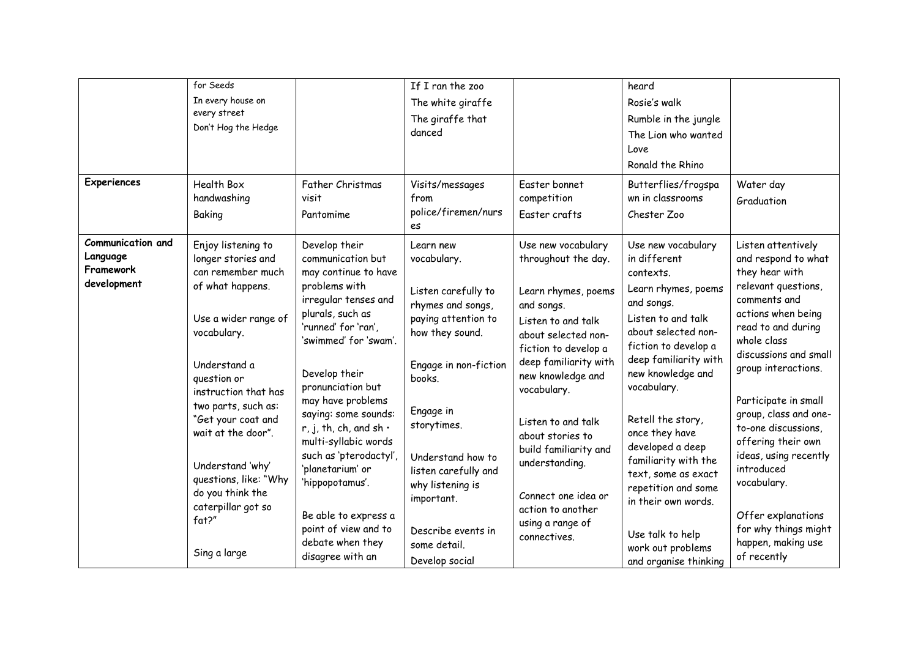| Experiences                                                      | for Seeds<br>In every house on<br>every street<br>Don't Hog the Hedge<br>Health Box<br>handwashing<br>Baking                                                                                                                                                                                                                                                       | Father Christmas<br>visit<br>Pantomime                                                                                                                                                                                                                                                                                                                                                                                                                                      | If I ran the zoo<br>The white giraffe<br>The giraffe that<br>danced<br>Visits/messages<br>from<br>police/firemen/nurs<br>es                                                                                                                                                                                          | Easter bonnet<br>competition<br>Easter crafts                                                                                                                                                                                                                                                                                                                                         | heard<br>Rosie's walk<br>Rumble in the jungle<br>The Lion who wanted<br>Love<br>Ronald the Rhino<br>Butterflies/frogspa<br>wn in classrooms<br>Chester Zoo                                                                                                                                                                                                                                                                                       | Water day<br>Graduation                                                                                                                                                                                                                                                                                                                                                                                                                              |
|------------------------------------------------------------------|--------------------------------------------------------------------------------------------------------------------------------------------------------------------------------------------------------------------------------------------------------------------------------------------------------------------------------------------------------------------|-----------------------------------------------------------------------------------------------------------------------------------------------------------------------------------------------------------------------------------------------------------------------------------------------------------------------------------------------------------------------------------------------------------------------------------------------------------------------------|----------------------------------------------------------------------------------------------------------------------------------------------------------------------------------------------------------------------------------------------------------------------------------------------------------------------|---------------------------------------------------------------------------------------------------------------------------------------------------------------------------------------------------------------------------------------------------------------------------------------------------------------------------------------------------------------------------------------|--------------------------------------------------------------------------------------------------------------------------------------------------------------------------------------------------------------------------------------------------------------------------------------------------------------------------------------------------------------------------------------------------------------------------------------------------|------------------------------------------------------------------------------------------------------------------------------------------------------------------------------------------------------------------------------------------------------------------------------------------------------------------------------------------------------------------------------------------------------------------------------------------------------|
| <b>Communication and</b><br>Language<br>Framework<br>development | Enjoy listening to<br>longer stories and<br>can remember much<br>of what happens.<br>Use a wider range of<br>vocabulary.<br>Understand a<br>question or<br>instruction that has<br>two parts, such as:<br>"Get your coat and<br>wait at the door".<br>Understand 'why'<br>questions, like: "Why<br>do you think the<br>caterpillar got so<br>fat?"<br>Sing a large | Develop their<br>communication but<br>may continue to have<br>problems with<br>irregular tenses and<br>plurals, such as<br>'runned' for 'ran',<br>'swimmed' for 'swam'.<br>Develop their<br>pronunciation but<br>may have problems<br>saying: some sounds:<br>r, j, th, ch, and sh $\cdot$<br>multi-syllabic words<br>such as 'pterodactyl',<br>'planetarium' or<br>'hippopotamus'.<br>Be able to express a<br>point of view and to<br>debate when they<br>disagree with an | Learn new<br>vocabulary.<br>Listen carefully to<br>rhymes and songs,<br>paying attention to<br>how they sound.<br>Engage in non-fiction<br>books.<br>Engage in<br>storytimes.<br>Understand how to<br>listen carefully and<br>why listening is<br>important.<br>Describe events in<br>some detail.<br>Develop social | Use new vocabulary<br>throughout the day.<br>Learn rhymes, poems<br>and songs.<br>Listen to and talk<br>about selected non-<br>fiction to develop a<br>deep familiarity with<br>new knowledge and<br>vocabulary.<br>Listen to and talk<br>about stories to<br>build familiarity and<br>understanding.<br>Connect one idea or<br>action to another<br>using a range of<br>connectives. | Use new vocabulary<br>in different<br>contexts.<br>Learn rhymes, poems<br>and songs.<br>Listen to and talk<br>about selected non-<br>fiction to develop a<br>deep familiarity with<br>new knowledge and<br>vocabulary.<br>Retell the story,<br>once they have<br>developed a deep<br>familiarity with the<br>text, some as exact<br>repetition and some<br>in their own words.<br>Use talk to help<br>work out problems<br>and organise thinking | Listen attentively<br>and respond to what<br>they hear with<br>relevant questions,<br>comments and<br>actions when being<br>read to and during<br>whole class<br>discussions and small<br>group interactions.<br>Participate in small<br>group, class and one-<br>to-one discussions,<br>offering their own<br>ideas, using recently<br>introduced<br>vocabulary.<br>Offer explanations<br>for why things might<br>happen, making use<br>of recently |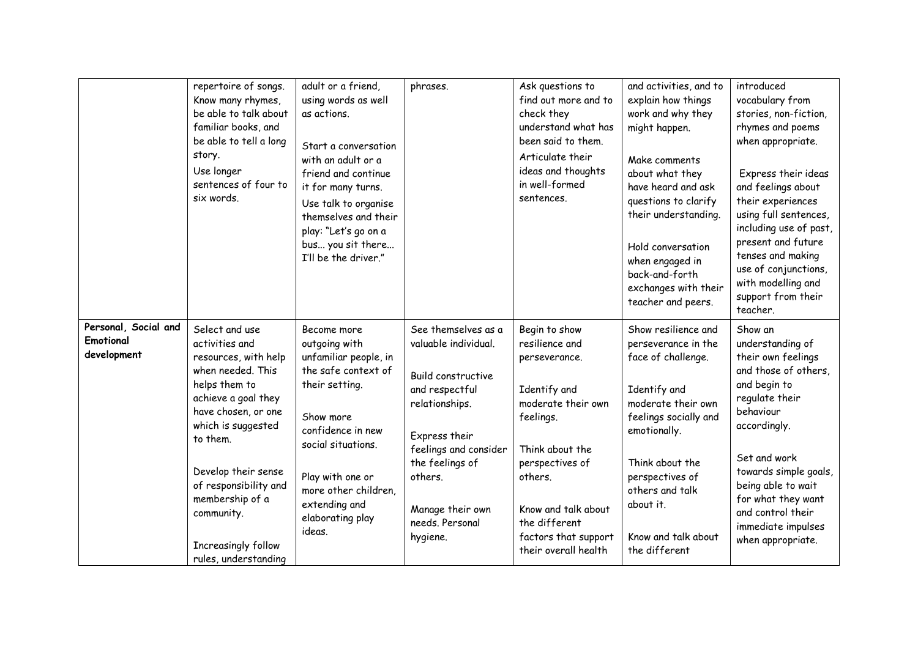|                                                  | repertoire of songs.<br>Know many rhymes,<br>be able to talk about<br>familiar books, and<br>be able to tell a long<br>story.<br>Use longer<br>sentences of four to<br>six words.                                                                                                                              | adult or a friend,<br>using words as well<br>as actions.<br>Start a conversation<br>with an adult or a<br>friend and continue<br>it for many turns.<br>Use talk to organise<br>themselves and their<br>play: "Let's go on a<br>bus you sit there<br>I'll be the driver." | phrases.                                                                                                                                                                                                                         | Ask questions to<br>find out more and to<br>check they<br>understand what has<br>been said to them.<br>Articulate their<br>ideas and thoughts<br>in well-formed<br>sentences.                                                                | and activities, and to<br>explain how things<br>work and why they<br>might happen.<br>Make comments<br>about what they<br>have heard and ask<br>questions to clarify<br>their understanding.<br>Hold conversation<br>when engaged in<br>back-and-forth<br>exchanges with their<br>teacher and peers. | introduced<br>vocabulary from<br>stories, non-fiction,<br>rhymes and poems<br>when appropriate.<br>Express their ideas<br>and feelings about<br>their experiences<br>using full sentences,<br>including use of past,<br>present and future<br>tenses and making<br>use of conjunctions,<br>with modelling and<br>support from their<br>teacher. |
|--------------------------------------------------|----------------------------------------------------------------------------------------------------------------------------------------------------------------------------------------------------------------------------------------------------------------------------------------------------------------|--------------------------------------------------------------------------------------------------------------------------------------------------------------------------------------------------------------------------------------------------------------------------|----------------------------------------------------------------------------------------------------------------------------------------------------------------------------------------------------------------------------------|----------------------------------------------------------------------------------------------------------------------------------------------------------------------------------------------------------------------------------------------|------------------------------------------------------------------------------------------------------------------------------------------------------------------------------------------------------------------------------------------------------------------------------------------------------|-------------------------------------------------------------------------------------------------------------------------------------------------------------------------------------------------------------------------------------------------------------------------------------------------------------------------------------------------|
| Personal, Social and<br>Emotional<br>development | Select and use<br>activities and<br>resources, with help<br>when needed. This<br>helps them to<br>achieve a goal they<br>have chosen, or one<br>which is suggested<br>to them.<br>Develop their sense<br>of responsibility and<br>membership of a<br>community.<br>Increasingly follow<br>rules, understanding | Become more<br>outgoing with<br>unfamiliar people, in<br>the safe context of<br>their setting.<br>Show more<br>confidence in new<br>social situations.<br>Play with one or<br>more other children,<br>extending and<br>elaborating play<br>ideas.                        | See themselves as a<br>valuable individual.<br>Build constructive<br>and respectful<br>relationships.<br>Express their<br>feelings and consider<br>the feelings of<br>others.<br>Manage their own<br>needs. Personal<br>hygiene. | Begin to show<br>resilience and<br>perseverance.<br>Identify and<br>moderate their own<br>feelings.<br>Think about the<br>perspectives of<br>others.<br>Know and talk about<br>the different<br>factors that support<br>their overall health | Show resilience and<br>perseverance in the<br>face of challenge.<br>Identify and<br>moderate their own<br>feelings socially and<br>emotionally.<br>Think about the<br>perspectives of<br>others and talk<br>about it.<br>Know and talk about<br>the different                                        | Show an<br>understanding of<br>their own feelings<br>and those of others,<br>and begin to<br>regulate their<br>behaviour<br>accordingly.<br>Set and work<br>towards simple goals,<br>being able to wait<br>for what they want<br>and control their<br>immediate impulses<br>when appropriate.                                                   |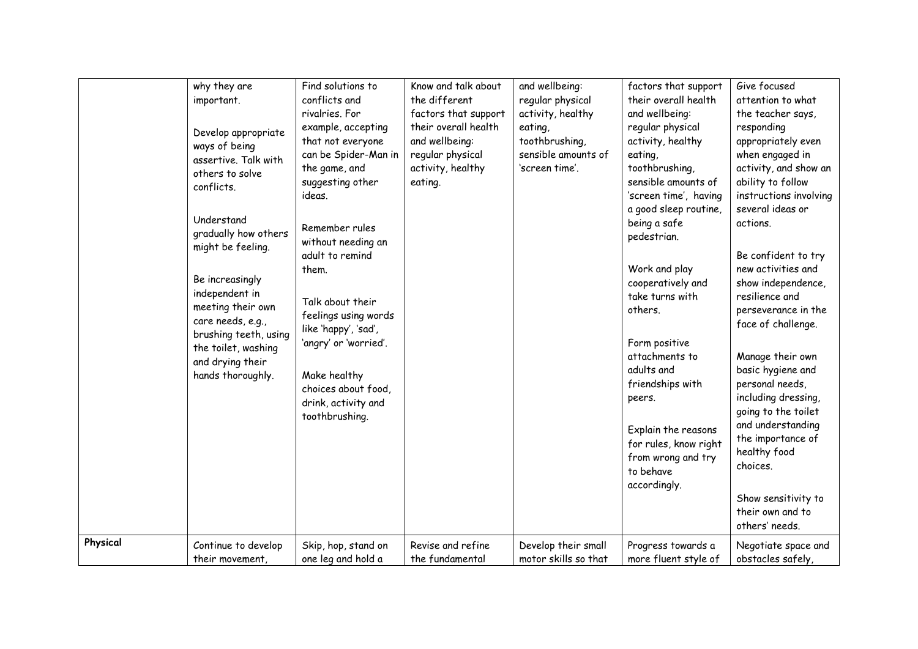|          | why they are<br>important.<br>Develop appropriate<br>ways of being<br>assertive. Talk with<br>others to solve<br>conflicts.<br>Understand<br>gradually how others<br>might be feeling.<br>Be increasingly<br>independent in<br>meeting their own<br>care needs, e.g.,<br>brushing teeth, using<br>the toilet, washing<br>and drying their<br>hands thoroughly. | Find solutions to<br>conflicts and<br>rivalries. For<br>example, accepting<br>that not everyone<br>can be Spider-Man in<br>the game, and<br>suggesting other<br>ideas.<br>Remember rules<br>without needing an<br>adult to remind<br>them.<br>Talk about their<br>feelings using words<br>like 'happy', 'sad',<br>'angry' or 'worried'.<br>Make healthy<br>choices about food,<br>drink, activity and<br>toothbrushing. | Know and talk about<br>the different<br>factors that support<br>their overall health<br>and wellbeing:<br>regular physical<br>activity, healthy<br>eating. | and wellbeing:<br>regular physical<br>activity, healthy<br>eating,<br>toothbrushing,<br>sensible amounts of<br>'screen time'. | factors that support<br>their overall health<br>and wellbeing:<br>regular physical<br>activity, healthy<br>eating,<br>toothbrushing,<br>sensible amounts of<br>'screen time', having<br>a good sleep routine,<br>being a safe<br>pedestrian.<br>Work and play<br>cooperatively and<br>take turns with<br>others.<br>Form positive<br>attachments to<br>adults and<br>friendships with<br>peers.<br>Explain the reasons<br>for rules, know right<br>from wrong and try<br>to behave<br>accordingly. | Give focused<br>attention to what<br>the teacher says,<br>responding<br>appropriately even<br>when engaged in<br>activity, and show an<br>ability to follow<br>instructions involving<br>several ideas or<br>actions.<br>Be confident to try<br>new activities and<br>show independence,<br>resilience and<br>perseverance in the<br>face of challenge.<br>Manage their own<br>basic hygiene and<br>personal needs,<br>including dressing,<br>going to the toilet<br>and understanding<br>the importance of<br>healthy food<br>choices.<br>Show sensitivity to<br>their own and to<br>others' needs. |
|----------|----------------------------------------------------------------------------------------------------------------------------------------------------------------------------------------------------------------------------------------------------------------------------------------------------------------------------------------------------------------|-------------------------------------------------------------------------------------------------------------------------------------------------------------------------------------------------------------------------------------------------------------------------------------------------------------------------------------------------------------------------------------------------------------------------|------------------------------------------------------------------------------------------------------------------------------------------------------------|-------------------------------------------------------------------------------------------------------------------------------|----------------------------------------------------------------------------------------------------------------------------------------------------------------------------------------------------------------------------------------------------------------------------------------------------------------------------------------------------------------------------------------------------------------------------------------------------------------------------------------------------|------------------------------------------------------------------------------------------------------------------------------------------------------------------------------------------------------------------------------------------------------------------------------------------------------------------------------------------------------------------------------------------------------------------------------------------------------------------------------------------------------------------------------------------------------------------------------------------------------|
| Physical | Continue to develop                                                                                                                                                                                                                                                                                                                                            | Skip, hop, stand on                                                                                                                                                                                                                                                                                                                                                                                                     | Revise and refine                                                                                                                                          | Develop their small                                                                                                           | Progress towards a                                                                                                                                                                                                                                                                                                                                                                                                                                                                                 | Negotiate space and                                                                                                                                                                                                                                                                                                                                                                                                                                                                                                                                                                                  |
|          | their movement.                                                                                                                                                                                                                                                                                                                                                | one leg and hold a                                                                                                                                                                                                                                                                                                                                                                                                      | the fundamental                                                                                                                                            | motor skills so that                                                                                                          | more fluent style of                                                                                                                                                                                                                                                                                                                                                                                                                                                                               | obstacles safely,                                                                                                                                                                                                                                                                                                                                                                                                                                                                                                                                                                                    |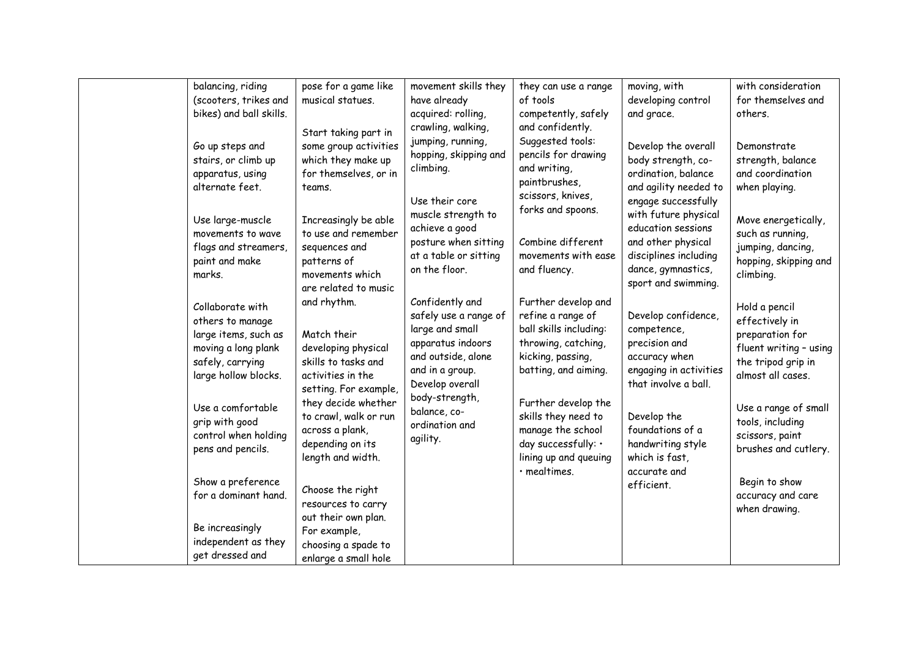| balancing, riding                                                                                                                                                                                                   | pose for a game like                                                                                                                                                                                                               | movement skills they                                                                                                                                                                                         | they can use a range                                                                                                                                                                                                                                                            | moving, with                                                                                                                                                                                                     | with consideration                                                                                                                                                                                             |
|---------------------------------------------------------------------------------------------------------------------------------------------------------------------------------------------------------------------|------------------------------------------------------------------------------------------------------------------------------------------------------------------------------------------------------------------------------------|--------------------------------------------------------------------------------------------------------------------------------------------------------------------------------------------------------------|---------------------------------------------------------------------------------------------------------------------------------------------------------------------------------------------------------------------------------------------------------------------------------|------------------------------------------------------------------------------------------------------------------------------------------------------------------------------------------------------------------|----------------------------------------------------------------------------------------------------------------------------------------------------------------------------------------------------------------|
| (scooters, trikes and                                                                                                                                                                                               | musical statues.                                                                                                                                                                                                                   | have already                                                                                                                                                                                                 | of tools                                                                                                                                                                                                                                                                        | developing control                                                                                                                                                                                               | for themselves and                                                                                                                                                                                             |
| bikes) and ball skills.                                                                                                                                                                                             |                                                                                                                                                                                                                                    | acquired: rolling,                                                                                                                                                                                           | competently, safely                                                                                                                                                                                                                                                             | and grace.                                                                                                                                                                                                       | others.                                                                                                                                                                                                        |
|                                                                                                                                                                                                                     |                                                                                                                                                                                                                                    |                                                                                                                                                                                                              |                                                                                                                                                                                                                                                                                 |                                                                                                                                                                                                                  |                                                                                                                                                                                                                |
| Go up steps and<br>stairs, or climb up<br>apparatus, using<br>alternate feet.                                                                                                                                       | Start taking part in<br>some group activities<br>which they make up<br>for themselves, or in<br>teams.                                                                                                                             | crawling, walking,<br>jumping, running,<br>hopping, skipping and<br>climbing.<br>Use their core                                                                                                              | and confidently.<br>Suggested tools:<br>pencils for drawing<br>and writing,<br>paintbrushes,<br>scissors, knives,                                                                                                                                                               | Develop the overall<br>body strength, co-<br>ordination, balance<br>and agility needed to<br>engage successfully                                                                                                 | Demonstrate<br>strength, balance<br>and coordination<br>when playing.                                                                                                                                          |
| Use large-muscle<br>movements to wave<br>flags and streamers,<br>paint and make<br>marks.                                                                                                                           | Increasingly be able<br>to use and remember<br>sequences and<br>patterns of<br>movements which<br>are related to music                                                                                                             | muscle strength to<br>achieve a good<br>posture when sitting<br>at a table or sitting<br>on the floor.                                                                                                       | forks and spoons.<br>Combine different<br>movements with ease<br>and fluency.                                                                                                                                                                                                   | with future physical<br>education sessions<br>and other physical<br>disciplines including<br>dance, gymnastics,<br>sport and swimming.                                                                           | Move energetically,<br>such as running,<br>jumping, dancing,<br>hopping, skipping and<br>climbing.                                                                                                             |
| Collaborate with<br>others to manage<br>large items, such as<br>moving a long plank<br>safely, carrying<br>large hollow blocks.<br>Use a comfortable<br>grip with good<br>control when holding<br>pens and pencils. | and rhythm.<br>Match their<br>developing physical<br>skills to tasks and<br>activities in the<br>setting. For example,<br>they decide whether<br>to crawl, walk or run<br>across a plank,<br>depending on its<br>length and width. | Confidently and<br>safely use a range of<br>large and small<br>apparatus indoors<br>and outside, alone<br>and in a group.<br>Develop overall<br>body-strength,<br>balance, co-<br>ordination and<br>agility. | Further develop and<br>refine a range of<br>ball skills including:<br>throwing, catching,<br>kicking, passing,<br>batting, and aiming.<br>Further develop the<br>skills they need to<br>manage the school<br>day successfully: .<br>lining up and queuing<br>$\cdot$ mealtimes. | Develop confidence,<br>competence,<br>precision and<br>accuracy when<br>engaging in activities<br>that involve a ball.<br>Develop the<br>foundations of a<br>handwriting style<br>which is fast,<br>accurate and | Hold a pencil<br>effectively in<br>preparation for<br>fluent writing - using<br>the tripod grip in<br>almost all cases.<br>Use a range of small<br>tools, including<br>scissors, paint<br>brushes and cutlery. |
| Show a preference<br>for a dominant hand.                                                                                                                                                                           | Choose the right<br>resources to carry                                                                                                                                                                                             |                                                                                                                                                                                                              |                                                                                                                                                                                                                                                                                 | efficient.                                                                                                                                                                                                       | Begin to show<br>accuracy and care<br>when drawing.                                                                                                                                                            |
| Be increasingly<br>independent as they<br>get dressed and                                                                                                                                                           | out their own plan.<br>For example,<br>choosing a spade to<br>enlarge a small hole                                                                                                                                                 |                                                                                                                                                                                                              |                                                                                                                                                                                                                                                                                 |                                                                                                                                                                                                                  |                                                                                                                                                                                                                |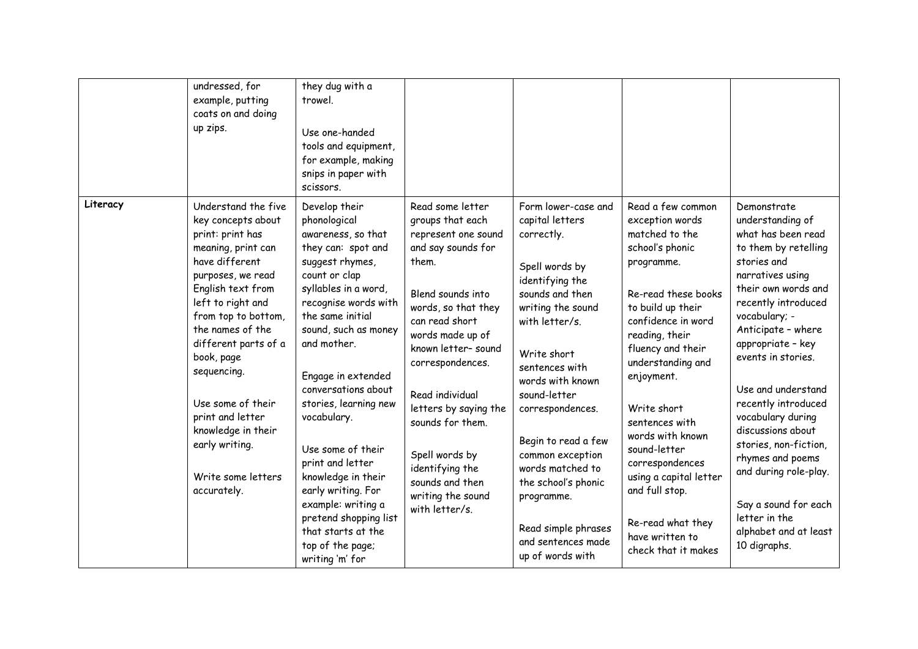|          | undressed, for<br>example, putting<br>coats on and doing<br>up zips.                                                                                                                                                                                                                                                                                                                       | they dug with a<br>trowel.<br>Use one-handed<br>tools and equipment,<br>for example, making<br>snips in paper with<br>scissors.                                                                                                                                                                                                                                                                                                                                                                                |                                                                                                                                                                                                                                                                                                                                                                                       |                                                                                                                                                                                                                                                                                                                                                                                                                   |                                                                                                                                                                                                                                                                                                                                                                                                                                        |                                                                                                                                                                                                                                                                                                                                                                                                                                                                                                 |
|----------|--------------------------------------------------------------------------------------------------------------------------------------------------------------------------------------------------------------------------------------------------------------------------------------------------------------------------------------------------------------------------------------------|----------------------------------------------------------------------------------------------------------------------------------------------------------------------------------------------------------------------------------------------------------------------------------------------------------------------------------------------------------------------------------------------------------------------------------------------------------------------------------------------------------------|---------------------------------------------------------------------------------------------------------------------------------------------------------------------------------------------------------------------------------------------------------------------------------------------------------------------------------------------------------------------------------------|-------------------------------------------------------------------------------------------------------------------------------------------------------------------------------------------------------------------------------------------------------------------------------------------------------------------------------------------------------------------------------------------------------------------|----------------------------------------------------------------------------------------------------------------------------------------------------------------------------------------------------------------------------------------------------------------------------------------------------------------------------------------------------------------------------------------------------------------------------------------|-------------------------------------------------------------------------------------------------------------------------------------------------------------------------------------------------------------------------------------------------------------------------------------------------------------------------------------------------------------------------------------------------------------------------------------------------------------------------------------------------|
| Literacy | Understand the five<br>key concepts about<br>print: print has<br>meaning, print can<br>have different<br>purposes, we read<br>English text from<br>left to right and<br>from top to bottom,<br>the names of the<br>different parts of a<br>book, page<br>sequencing.<br>Use some of their<br>print and letter<br>knowledge in their<br>early writing.<br>Write some letters<br>accurately. | Develop their<br>phonological<br>awareness, so that<br>they can: spot and<br>suggest rhymes,<br>count or clap<br>syllables in a word,<br>recognise words with<br>the same initial<br>sound, such as money<br>and mother.<br>Engage in extended<br>conversations about<br>stories, learning new<br>vocabulary.<br>Use some of their<br>print and letter<br>knowledge in their<br>early writing. For<br>example: writing a<br>pretend shopping list<br>that starts at the<br>top of the page;<br>writing 'm' for | Read some letter<br>groups that each<br>represent one sound<br>and say sounds for<br>them.<br>Blend sounds into<br>words, so that they<br>can read short<br>words made up of<br>known letter-sound<br>correspondences.<br>Read individual<br>letters by saying the<br>sounds for them.<br>Spell words by<br>identifying the<br>sounds and then<br>writing the sound<br>with letter/s. | Form lower-case and<br>capital letters<br>correctly.<br>Spell words by<br>identifying the<br>sounds and then<br>writing the sound<br>with letter/s.<br>Write short<br>sentences with<br>words with known<br>sound-letter<br>correspondences.<br>Begin to read a few<br>common exception<br>words matched to<br>the school's phonic<br>programme.<br>Read simple phrases<br>and sentences made<br>up of words with | Read a few common<br>exception words<br>matched to the<br>school's phonic<br>programme.<br>Re-read these books<br>to build up their<br>confidence in word<br>reading, their<br>fluency and their<br>understanding and<br>enjoyment.<br>Write short<br>sentences with<br>words with known<br>sound-letter<br>correspondences<br>using a capital letter<br>and full stop.<br>Re-read what they<br>have written to<br>check that it makes | Demonstrate<br>understanding of<br>what has been read<br>to them by retelling<br>stories and<br>narratives using<br>their own words and<br>recently introduced<br>vocabulary; -<br>Anticipate - where<br>appropriate - key<br>events in stories.<br>Use and understand<br>recently introduced<br>vocabulary during<br>discussions about<br>stories, non-fiction,<br>rhymes and poems<br>and during role-play.<br>Say a sound for each<br>letter in the<br>alphabet and at least<br>10 digraphs. |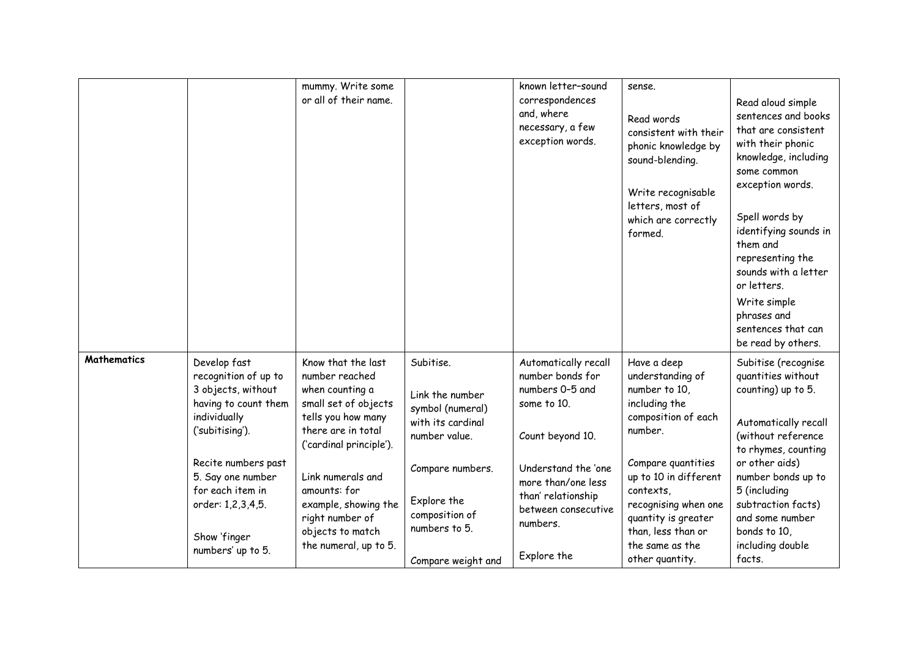|             |                                                                                                                                                                                                                                                 | mummy. Write some<br>or all of their name.                                                                                                                                                                                                                                          |                                                                                                                                                                                    | known letter-sound<br>correspondences<br>and, where<br>necessary, a few<br>exception words.                                                                                                                         | sense.<br>Read words<br>consistent with their<br>phonic knowledge by<br>sound-blending.<br>Write recognisable<br>letters, most of<br>which are correctly<br>formed.                                                                                                        | Read aloud simple<br>sentences and books<br>that are consistent<br>with their phonic<br>knowledge, including<br>some common<br>exception words.<br>Spell words by<br>identifying sounds in<br>them and<br>representing the<br>sounds with a letter<br>or letters.<br>Write simple<br>phrases and<br>sentences that can<br>be read by others. |
|-------------|-------------------------------------------------------------------------------------------------------------------------------------------------------------------------------------------------------------------------------------------------|-------------------------------------------------------------------------------------------------------------------------------------------------------------------------------------------------------------------------------------------------------------------------------------|------------------------------------------------------------------------------------------------------------------------------------------------------------------------------------|---------------------------------------------------------------------------------------------------------------------------------------------------------------------------------------------------------------------|----------------------------------------------------------------------------------------------------------------------------------------------------------------------------------------------------------------------------------------------------------------------------|----------------------------------------------------------------------------------------------------------------------------------------------------------------------------------------------------------------------------------------------------------------------------------------------------------------------------------------------|
| Mathematics | Develop fast<br>recognition of up to<br>3 objects, without<br>having to count them<br>individually<br>('subitising').<br>Recite numbers past<br>5. Say one number<br>for each item in<br>order: 1,2,3,4,5.<br>Show 'finger<br>numbers' up to 5. | Know that the last<br>number reached<br>when counting a<br>small set of objects<br>tells you how many<br>there are in total<br>('cardinal principle').<br>Link numerals and<br>amounts: for<br>example, showing the<br>right number of<br>objects to match<br>the numeral, up to 5. | Subitise.<br>Link the number<br>symbol (numeral)<br>with its cardinal<br>number value.<br>Compare numbers.<br>Explore the<br>composition of<br>numbers to 5.<br>Compare weight and | Automatically recall<br>number bonds for<br>numbers 0-5 and<br>some to 10.<br>Count beyond 10.<br>Understand the 'one<br>more than/one less<br>than' relationship<br>between consecutive<br>numbers.<br>Explore the | Have a deep<br>understanding of<br>number to 10,<br>including the<br>composition of each<br>number.<br>Compare quantities<br>up to 10 in different<br>contexts,<br>recognising when one<br>quantity is greater<br>than, less than or<br>the same as the<br>other quantity. | Subitise (recognise<br>quantities without<br>counting) up to 5.<br>Automatically recall<br>(without reference<br>to rhymes, counting<br>or other aids)<br>number bonds up to<br>5 (including<br>subtraction facts)<br>and some number<br>bonds to 10,<br>including double<br>facts.                                                          |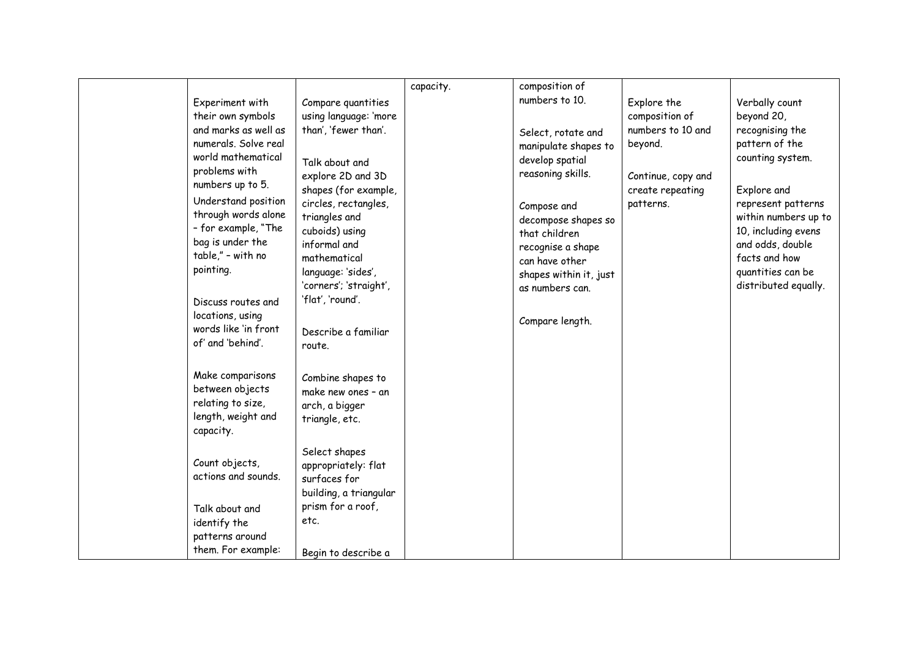|                                                                                                                                                                                                                                                                                                                                                                   |                                                                                                                                                                                                                                                                                                                                    |           | composition of                                                                                                                                                                                                                                                     |                                                                                                                      |                                                                                                                                                                                                                                                             |
|-------------------------------------------------------------------------------------------------------------------------------------------------------------------------------------------------------------------------------------------------------------------------------------------------------------------------------------------------------------------|------------------------------------------------------------------------------------------------------------------------------------------------------------------------------------------------------------------------------------------------------------------------------------------------------------------------------------|-----------|--------------------------------------------------------------------------------------------------------------------------------------------------------------------------------------------------------------------------------------------------------------------|----------------------------------------------------------------------------------------------------------------------|-------------------------------------------------------------------------------------------------------------------------------------------------------------------------------------------------------------------------------------------------------------|
| Experiment with<br>their own symbols<br>and marks as well as<br>numerals. Solve real<br>world mathematical<br>problems with<br>numbers up to 5.<br>Understand position<br>through words alone<br>- for example, "The<br>bag is under the<br>table," - with no<br>pointing.<br>Discuss routes and<br>locations, using<br>words like 'in front<br>of' and 'behind'. | Compare quantities<br>using language: 'more<br>than', 'fewer than'.<br>Talk about and<br>explore 2D and 3D<br>shapes (for example,<br>circles, rectangles,<br>triangles and<br>cuboids) using<br>informal and<br>mathematical<br>language: 'sides',<br>'corners'; 'straight',<br>'flat', 'round'.<br>Describe a familiar<br>route. | capacity. | numbers to 10.<br>Select, rotate and<br>manipulate shapes to<br>develop spatial<br>reasoning skills.<br>Compose and<br>decompose shapes so<br>that children<br>recognise a shape<br>can have other<br>shapes within it, just<br>as numbers can.<br>Compare length. | Explore the<br>composition of<br>numbers to 10 and<br>beyond.<br>Continue, copy and<br>create repeating<br>patterns. | Verbally count<br>beyond 20,<br>recognising the<br>pattern of the<br>counting system.<br>Explore and<br>represent patterns<br>within numbers up to<br>10, including evens<br>and odds, double<br>facts and how<br>quantities can be<br>distributed equally. |
| Make comparisons<br>between objects<br>relating to size,<br>length, weight and<br>capacity.                                                                                                                                                                                                                                                                       | Combine shapes to<br>make new ones - an<br>arch, a bigger<br>triangle, etc.                                                                                                                                                                                                                                                        |           |                                                                                                                                                                                                                                                                    |                                                                                                                      |                                                                                                                                                                                                                                                             |
| Count objects,<br>actions and sounds.<br>Talk about and<br>identify the<br>patterns around<br>them. For example:                                                                                                                                                                                                                                                  | Select shapes<br>appropriately: flat<br>surfaces for<br>building, a triangular<br>prism for a roof,<br>etc.<br>Begin to describe a                                                                                                                                                                                                 |           |                                                                                                                                                                                                                                                                    |                                                                                                                      |                                                                                                                                                                                                                                                             |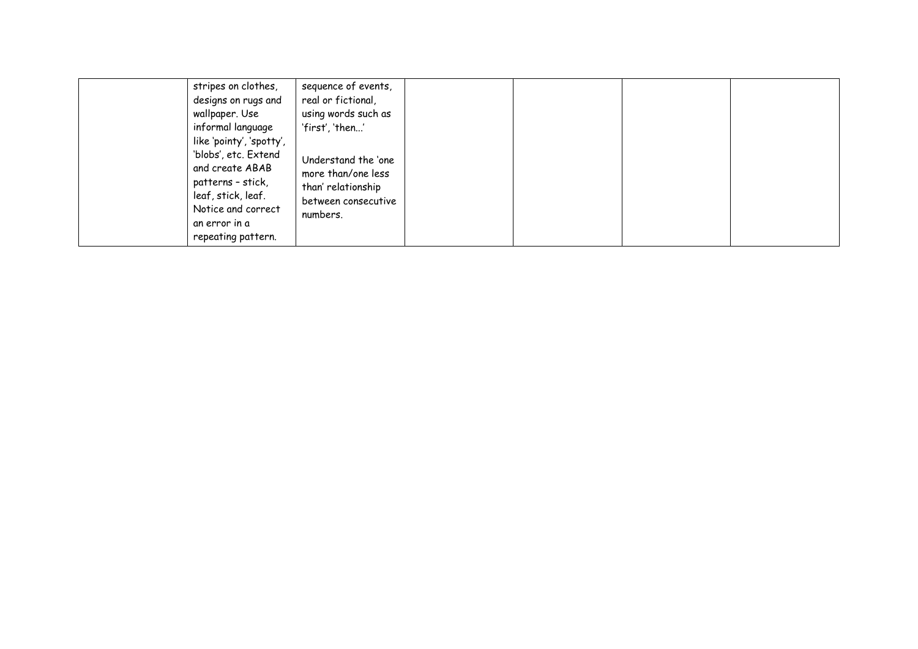| stripes on clothes,<br>designs on rugs and<br>wallpaper. Use<br>informal language<br>like 'pointy', 'spotty',<br>'blobs', etc. Extend<br>and create ABAB<br>patterns - stick,<br>leaf, stick, leaf.<br>Notice and correct<br>an error in a<br>repeating pattern. | sequence of events,<br>real or fictional,<br>using words such as<br>'first', 'then'<br>Understand the 'one<br>more than/one less<br>than' relationship<br>between consecutive<br>numbers. |  |  |  |  |
|------------------------------------------------------------------------------------------------------------------------------------------------------------------------------------------------------------------------------------------------------------------|-------------------------------------------------------------------------------------------------------------------------------------------------------------------------------------------|--|--|--|--|
|------------------------------------------------------------------------------------------------------------------------------------------------------------------------------------------------------------------------------------------------------------------|-------------------------------------------------------------------------------------------------------------------------------------------------------------------------------------------|--|--|--|--|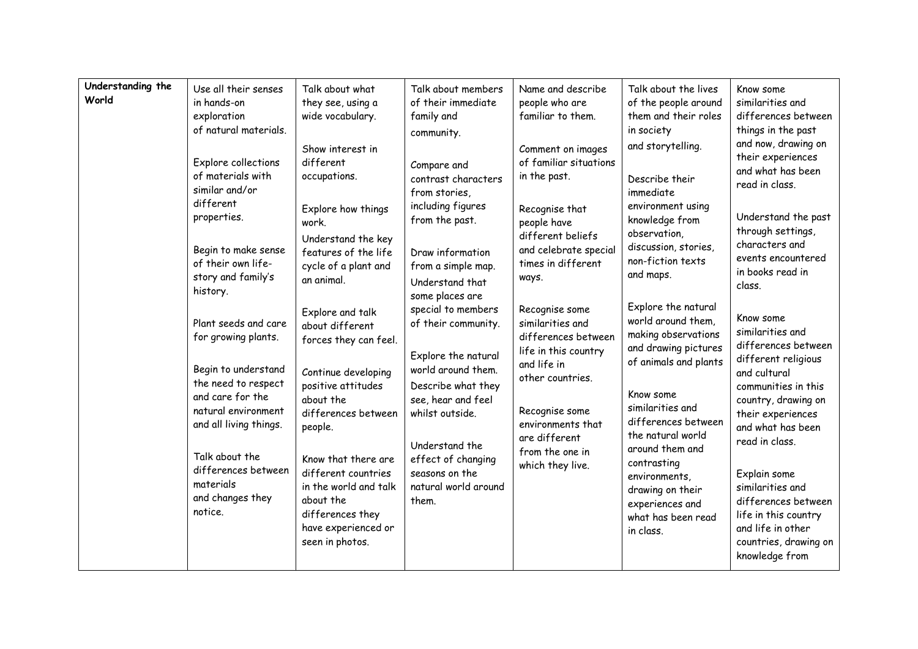| Understanding the<br>World | Use all their senses<br>in hands-on<br>exploration<br>of natural materials.<br>Explore collections<br>of materials with<br>similar and/or<br>different<br>properties.<br>Begin to make sense<br>of their own life-<br>story and family's<br>history.<br>Plant seeds and care<br>for growing plants.<br>Begin to understand<br>the need to respect<br>and care for the<br>natural environment<br>and all living things.<br>Talk about the<br>differences between<br>materials<br>and changes they<br>notice. | Talk about what<br>they see, using a<br>wide vocabulary.<br>Show interest in<br>different<br>occupations.<br>Explore how things<br>work.<br>Understand the key<br>features of the life<br>cycle of a plant and<br>an animal.<br>Explore and talk<br>about different<br>forces they can feel.<br>Continue developing<br>positive attitudes<br>about the<br>differences between<br>people.<br>Know that there are<br>different countries<br>in the world and talk<br>about the<br>differences they<br>have experienced or<br>seen in photos. | Talk about members<br>of their immediate<br>family and<br>community.<br>Compare and<br>contrast characters<br>from stories,<br>including figures<br>from the past.<br>Draw information<br>from a simple map.<br>Understand that<br>some places are<br>special to members<br>of their community.<br>Explore the natural<br>world around them.<br>Describe what they<br>see, hear and feel<br>whilst outside.<br>Understand the<br>effect of changing<br>seasons on the<br>natural world around<br>them. | Name and describe<br>people who are<br>familiar to them.<br>Comment on images<br>of familiar situations<br>in the past.<br>Recognise that<br>people have<br>different beliefs<br>and celebrate special<br>times in different<br>ways.<br>Recognise some<br>similarities and<br>differences between<br>life in this country<br>and life in<br>other countries.<br>Recognise some<br>environments that<br>are different<br>from the one in<br>which they live. | Talk about the lives<br>of the people around<br>them and their roles<br>in society<br>and storytelling.<br>Describe their<br>immediate<br>environment using<br>knowledge from<br>observation,<br>discussion, stories,<br>non-fiction texts<br>and maps.<br>Explore the natural<br>world around them,<br>making observations<br>and drawing pictures<br>of animals and plants<br>Know some<br>similarities and<br>differences between<br>the natural world<br>around them and<br>contrasting<br>environments,<br>drawing on their<br>experiences and<br>what has been read<br>in class. | Know some<br>similarities and<br>differences between<br>things in the past<br>and now, drawing on<br>their experiences<br>and what has been<br>read in class.<br>Understand the past<br>through settings,<br>characters and<br>events encountered<br>in books read in<br>class.<br>Know some<br>similarities and<br>differences between<br>different religious<br>and cultural<br>communities in this<br>country, drawing on<br>their experiences<br>and what has been<br>read in class.<br>Explain some<br>similarities and<br>differences between<br>life in this country<br>and life in other<br>countries, drawing on<br>knowledge from |
|----------------------------|-------------------------------------------------------------------------------------------------------------------------------------------------------------------------------------------------------------------------------------------------------------------------------------------------------------------------------------------------------------------------------------------------------------------------------------------------------------------------------------------------------------|--------------------------------------------------------------------------------------------------------------------------------------------------------------------------------------------------------------------------------------------------------------------------------------------------------------------------------------------------------------------------------------------------------------------------------------------------------------------------------------------------------------------------------------------|--------------------------------------------------------------------------------------------------------------------------------------------------------------------------------------------------------------------------------------------------------------------------------------------------------------------------------------------------------------------------------------------------------------------------------------------------------------------------------------------------------|--------------------------------------------------------------------------------------------------------------------------------------------------------------------------------------------------------------------------------------------------------------------------------------------------------------------------------------------------------------------------------------------------------------------------------------------------------------|----------------------------------------------------------------------------------------------------------------------------------------------------------------------------------------------------------------------------------------------------------------------------------------------------------------------------------------------------------------------------------------------------------------------------------------------------------------------------------------------------------------------------------------------------------------------------------------|---------------------------------------------------------------------------------------------------------------------------------------------------------------------------------------------------------------------------------------------------------------------------------------------------------------------------------------------------------------------------------------------------------------------------------------------------------------------------------------------------------------------------------------------------------------------------------------------------------------------------------------------|
|----------------------------|-------------------------------------------------------------------------------------------------------------------------------------------------------------------------------------------------------------------------------------------------------------------------------------------------------------------------------------------------------------------------------------------------------------------------------------------------------------------------------------------------------------|--------------------------------------------------------------------------------------------------------------------------------------------------------------------------------------------------------------------------------------------------------------------------------------------------------------------------------------------------------------------------------------------------------------------------------------------------------------------------------------------------------------------------------------------|--------------------------------------------------------------------------------------------------------------------------------------------------------------------------------------------------------------------------------------------------------------------------------------------------------------------------------------------------------------------------------------------------------------------------------------------------------------------------------------------------------|--------------------------------------------------------------------------------------------------------------------------------------------------------------------------------------------------------------------------------------------------------------------------------------------------------------------------------------------------------------------------------------------------------------------------------------------------------------|----------------------------------------------------------------------------------------------------------------------------------------------------------------------------------------------------------------------------------------------------------------------------------------------------------------------------------------------------------------------------------------------------------------------------------------------------------------------------------------------------------------------------------------------------------------------------------------|---------------------------------------------------------------------------------------------------------------------------------------------------------------------------------------------------------------------------------------------------------------------------------------------------------------------------------------------------------------------------------------------------------------------------------------------------------------------------------------------------------------------------------------------------------------------------------------------------------------------------------------------|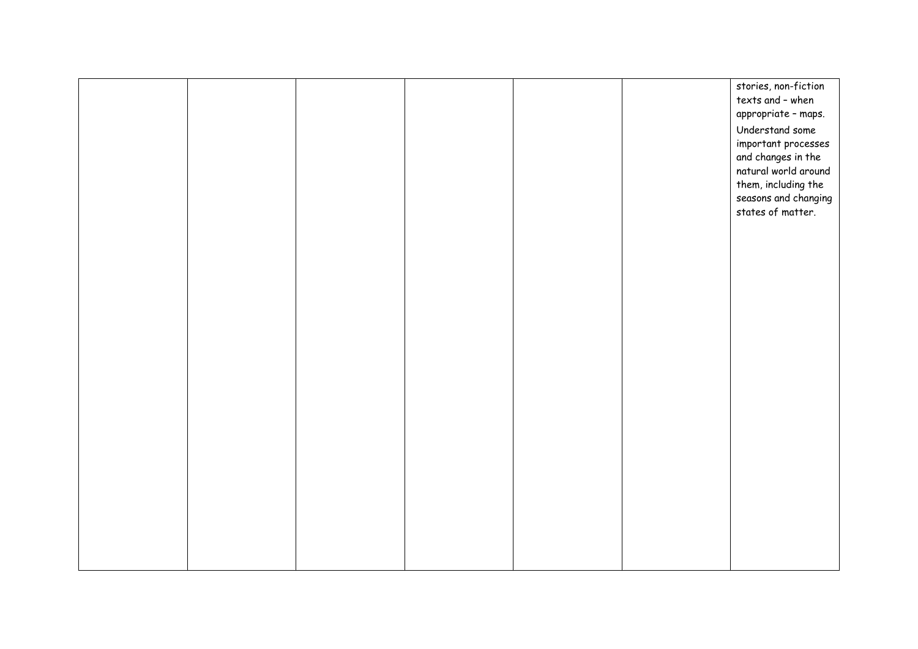|  |  |  | stories, non-fiction |
|--|--|--|----------------------|
|  |  |  | texts and - when     |
|  |  |  |                      |
|  |  |  | appropriate - maps.  |
|  |  |  | Understand some      |
|  |  |  | important processes  |
|  |  |  |                      |
|  |  |  | and changes in the   |
|  |  |  | natural world around |
|  |  |  | them, including the  |
|  |  |  | seasons and changing |
|  |  |  | states of matter.    |
|  |  |  |                      |
|  |  |  |                      |
|  |  |  |                      |
|  |  |  |                      |
|  |  |  |                      |
|  |  |  |                      |
|  |  |  |                      |
|  |  |  |                      |
|  |  |  |                      |
|  |  |  |                      |
|  |  |  |                      |
|  |  |  |                      |
|  |  |  |                      |
|  |  |  |                      |
|  |  |  |                      |
|  |  |  |                      |
|  |  |  |                      |
|  |  |  |                      |
|  |  |  |                      |
|  |  |  |                      |
|  |  |  |                      |
|  |  |  |                      |
|  |  |  |                      |
|  |  |  |                      |
|  |  |  |                      |
|  |  |  |                      |
|  |  |  |                      |
|  |  |  |                      |
|  |  |  |                      |
|  |  |  |                      |
|  |  |  |                      |
|  |  |  |                      |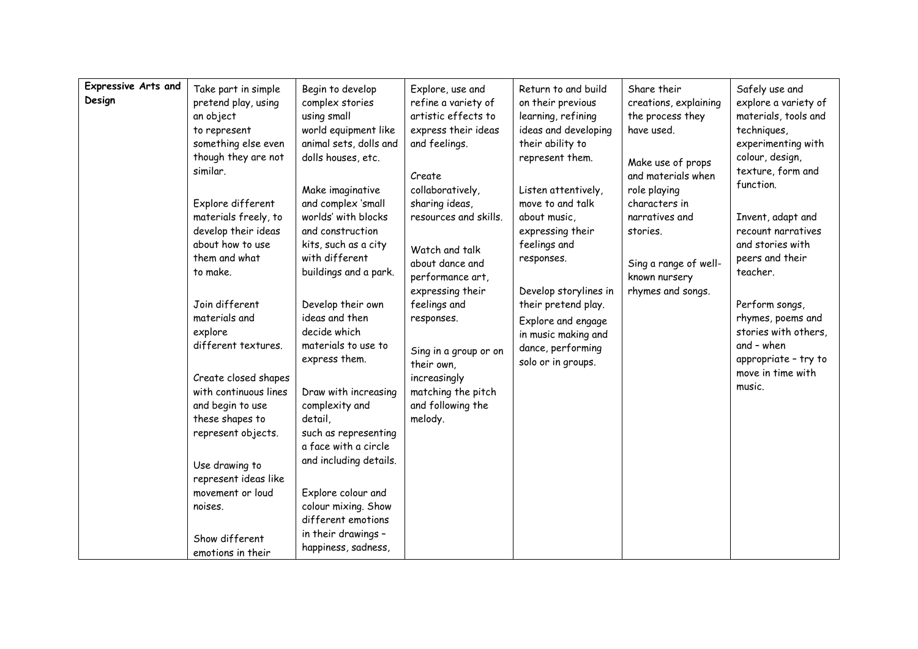| <b>Expressive Arts and</b><br>Design | Take part in simple<br>pretend play, using<br>an object<br>to represent<br>something else even<br>though they are not<br>similar.<br>Explore different<br>materials freely, to<br>develop their ideas<br>about how to use<br>them and what<br>to make.<br>Join different<br>materials and<br>explore<br>different textures.<br>Create closed shapes<br>with continuous lines<br>and begin to use<br>these shapes to<br>represent objects.<br>Use drawing to<br>represent ideas like<br>movement or loud<br>noises. | Begin to develop<br>complex stories<br>using small<br>world equipment like<br>animal sets, dolls and<br>dolls houses, etc.<br>Make imaginative<br>and complex 'small<br>worlds' with blocks<br>and construction<br>kits, such as a city<br>with different<br>buildings and a park.<br>Develop their own<br>ideas and then<br>decide which<br>materials to use to<br>express them.<br>Draw with increasing<br>complexity and<br>detail,<br>such as representing<br>a face with a circle<br>and including details.<br>Explore colour and<br>colour mixing. Show<br>different emotions | Explore, use and<br>refine a variety of<br>artistic effects to<br>express their ideas<br>and feelings.<br>Create<br>collaboratively,<br>sharing ideas,<br>resources and skills.<br>Watch and talk<br>about dance and<br>performance art,<br>expressing their<br>feelings and<br>responses.<br>Sing in a group or on<br>their own,<br>increasingly<br>matching the pitch<br>and following the<br>melody. | Return to and build<br>on their previous<br>learning, refining<br>ideas and developing<br>their ability to<br>represent them.<br>Listen attentively,<br>move to and talk<br>about music,<br>expressing their<br>feelings and<br>responses.<br>Develop storylines in<br>their pretend play.<br>Explore and engage<br>in music making and<br>dance, performing<br>solo or in groups. | Share their<br>creations, explaining<br>the process they<br>have used.<br>Make use of props<br>and materials when<br>role playing<br>characters in<br>narratives and<br>stories.<br>Sing a range of well-<br>known nursery<br>rhymes and songs. | Safely use and<br>explore a variety of<br>materials, tools and<br>techniques,<br>experimenting with<br>colour, design,<br>texture, form and<br>function.<br>Invent, adapt and<br>recount narratives<br>and stories with<br>peers and their<br>teacher.<br>Perform songs,<br>rhymes, poems and<br>stories with others,<br>and - when<br>appropriate - try to<br>move in time with<br>music. |
|--------------------------------------|--------------------------------------------------------------------------------------------------------------------------------------------------------------------------------------------------------------------------------------------------------------------------------------------------------------------------------------------------------------------------------------------------------------------------------------------------------------------------------------------------------------------|-------------------------------------------------------------------------------------------------------------------------------------------------------------------------------------------------------------------------------------------------------------------------------------------------------------------------------------------------------------------------------------------------------------------------------------------------------------------------------------------------------------------------------------------------------------------------------------|---------------------------------------------------------------------------------------------------------------------------------------------------------------------------------------------------------------------------------------------------------------------------------------------------------------------------------------------------------------------------------------------------------|------------------------------------------------------------------------------------------------------------------------------------------------------------------------------------------------------------------------------------------------------------------------------------------------------------------------------------------------------------------------------------|-------------------------------------------------------------------------------------------------------------------------------------------------------------------------------------------------------------------------------------------------|--------------------------------------------------------------------------------------------------------------------------------------------------------------------------------------------------------------------------------------------------------------------------------------------------------------------------------------------------------------------------------------------|
|                                      | Show different<br>emotions in their                                                                                                                                                                                                                                                                                                                                                                                                                                                                                | in their drawings -<br>happiness, sadness,                                                                                                                                                                                                                                                                                                                                                                                                                                                                                                                                          |                                                                                                                                                                                                                                                                                                                                                                                                         |                                                                                                                                                                                                                                                                                                                                                                                    |                                                                                                                                                                                                                                                 |                                                                                                                                                                                                                                                                                                                                                                                            |